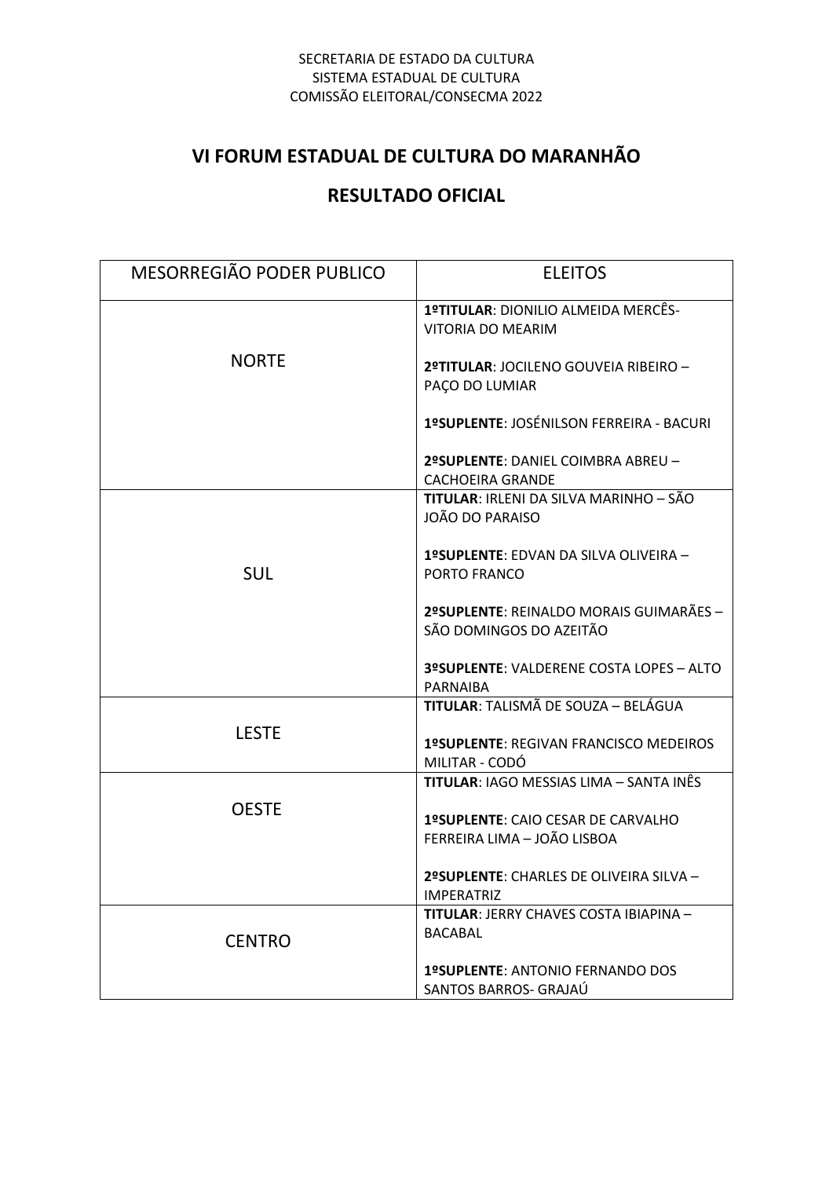#### SECRETARIA DE ESTADO DA CULTURA SISTEMA ESTADUAL DE CULTURA COMISSÃO ELEITORAL/CONSECMA 2022

# **VI FORUM ESTADUAL DE CULTURA DO MARANHÃO**

# **RESULTADO OFICIAL**

| MESORREGIÃO PODER PUBLICO | <b>ELEITOS</b>                                                     |
|---------------------------|--------------------------------------------------------------------|
| <b>NORTE</b>              | 1ºTITULAR: DIONILIO ALMEIDA MERCÊS-<br>VITORIA DO MEARIM           |
|                           | 2ºTITULAR: JOCILENO GOUVEIA RIBEIRO -<br>PAÇO DO LUMIAR            |
|                           | 1ºSUPLENTE: JOSÉNILSON FERREIRA - BACURI                           |
|                           | 2ºSUPLENTE: DANIEL COIMBRA ABREU -<br><b>CACHOEIRA GRANDE</b>      |
| <b>SUL</b>                | <b>TITULAR: IRLENI DA SILVA MARINHO - SÃO</b><br>JOÃO DO PARAISO   |
|                           | 1ºSUPLENTE: EDVAN DA SILVA OLIVEIRA -<br>PORTO FRANCO              |
|                           | 2ºSUPLENTE: REINALDO MORAIS GUIMARÃES -<br>SÃO DOMINGOS DO AZEITÃO |
|                           | 3ºSUPLENTE: VALDERENE COSTA LOPES - ALTO<br>PARNAIBA               |
| <b>LESTE</b>              | TITULAR: TALISMÃ DE SOUZA - BELÁGUA                                |
|                           | 1ºSUPLENTE: REGIVAN FRANCISCO MEDEIROS<br>MILITAR - CODÓ           |
| <b>OESTE</b>              | <b>TITULAR: IAGO MESSIAS LIMA – SANTA INÊS</b>                     |
|                           | 1ºSUPLENTE: CAIO CESAR DE CARVALHO<br>FERREIRA LIMA - JOÃO LISBOA  |
|                           | 2ºSUPLENTE: CHARLES DE OLIVEIRA SILVA -<br><b>IMPERATRIZ</b>       |
| <b>CENTRO</b>             | <b>TITULAR: JERRY CHAVES COSTA IBIAPINA -</b><br><b>BACABAL</b>    |
|                           | <b>1ºSUPLENTE: ANTONIO FERNANDO DOS</b><br>SANTOS BARROS- GRAJAÚ   |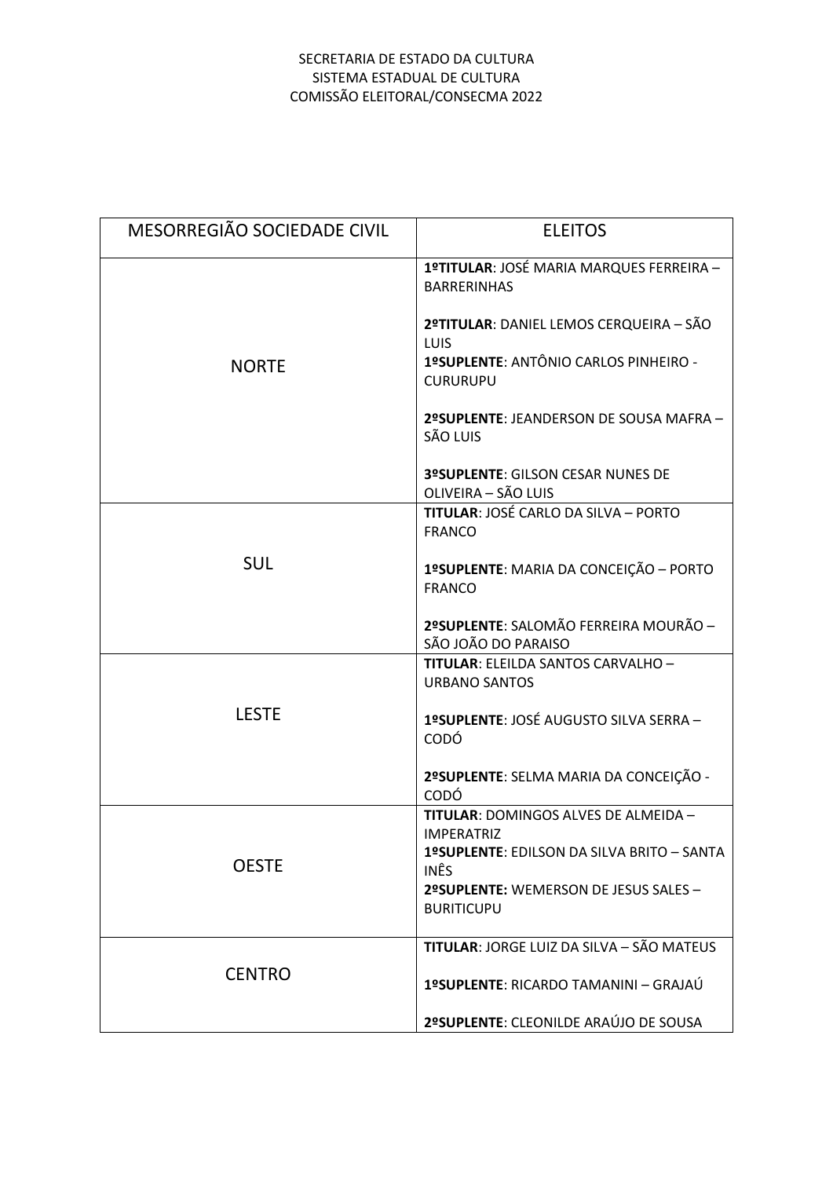### SECRETARIA DE ESTADO DA CULTURA SISTEMA ESTADUAL DE CULTURA COMISSÃO ELEITORAL/CONSECMA 2022

| MESORREGIÃO SOCIEDADE CIVIL | <b>ELEITOS</b>                                                 |
|-----------------------------|----------------------------------------------------------------|
| <b>NORTE</b>                | 1ºTITULAR: JOSÉ MARIA MARQUES FERREIRA -<br><b>BARRERINHAS</b> |
|                             | 2ºTITULAR: DANIEL LEMOS CERQUEIRA - SÃO<br><b>LUIS</b>         |
|                             | 1ºSUPLENTE: ANTÔNIO CARLOS PINHEIRO -<br><b>CURURUPU</b>       |
|                             | 2ºSUPLENTE: JEANDERSON DE SOUSA MAFRA -<br>SÃO LUIS            |
|                             | 3ºSUPLENTE: GILSON CESAR NUNES DE<br>OLIVEIRA - SÃO LUIS       |
| <b>SUL</b>                  | <b>TITULAR: JOSÉ CARLO DA SILVA - PORTO</b><br><b>FRANCO</b>   |
|                             | 1ºSUPLENTE: MARIA DA CONCEIÇÃO - PORTO<br><b>FRANCO</b>        |
|                             | 2ºSUPLENTE: SALOMÃO FERREIRA MOURÃO -<br>SÃO JOÃO DO PARAISO   |
| <b>LESTE</b>                | TITULAR: ELEILDA SANTOS CARVALHO -<br><b>URBANO SANTOS</b>     |
|                             | 1ºSUPLENTE: JOSÉ AUGUSTO SILVA SERRA -<br>CODÓ                 |
|                             | 2ºSUPLENTE: SELMA MARIA DA CONCEIÇÃO -<br>CODÓ                 |
| <b>OESTE</b>                | TITULAR: DOMINGOS ALVES DE ALMEIDA -<br><b>IMPERATRIZ</b>      |
|                             | 1ºSUPLENTE: EDILSON DA SILVA BRITO - SANTA<br><b>INÊS</b>      |
|                             | 2ºSUPLENTE: WEMERSON DE JESUS SALES -<br><b>BURITICUPU</b>     |
| <b>CENTRO</b>               | <b>TITULAR: JORGE LUIZ DA SILVA - SÃO MATEUS</b>               |
|                             | 1ºSUPLENTE: RICARDO TAMANINI - GRAJAÚ                          |
|                             | 2ºSUPLENTE: CLEONILDE ARAÚJO DE SOUSA                          |